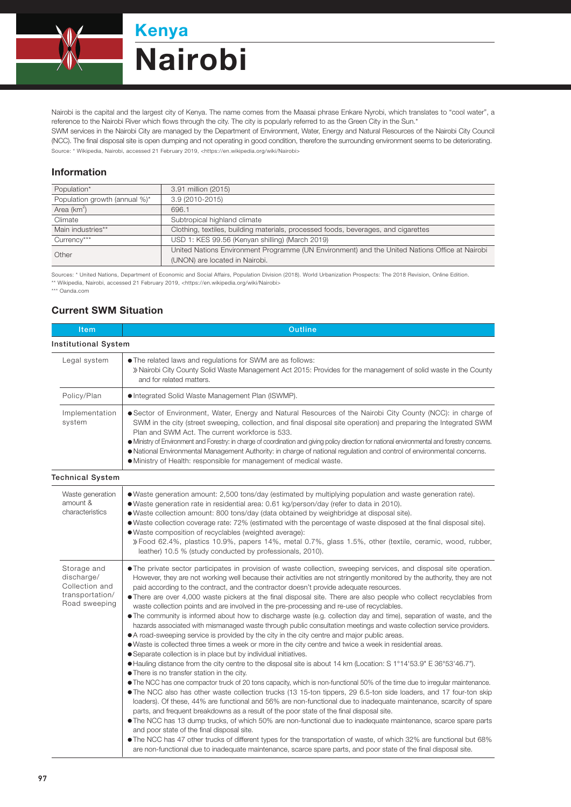

Nairobi is the capital and the largest city of Kenya. The name comes from the Maasai phrase Enkare Nyrobi, which translates to "cool water", a reference to the Nairobi River which flows through the city. The city is popularly referred to as the Green City in the Sun.\* SWM services in the Nairobi City are managed by the Department of Environment, Water, Energy and Natural Resources of the Nairobi City Council (NCC). The final disposal site is open dumping and not operating in good condition, therefore the surrounding environment seems to be deteriorating. Source: \* Wikipedia, Nairobi, accessed 21 February 2019, <https://en.wikipedia.org/wiki/Nairobi>

## Information

| Population*                   | 3.91 million (2015)                                                                            |  |
|-------------------------------|------------------------------------------------------------------------------------------------|--|
| Population growth (annual %)* | 3.9 (2010-2015)                                                                                |  |
| Area $(km^2)$                 | 696.1                                                                                          |  |
| Climate                       | Subtropical highland climate                                                                   |  |
| Main industries**             | Clothing, textiles, building materials, processed foods, beverages, and cigarettes             |  |
| Currency***                   | USD 1: KES 99.56 (Kenyan shilling) (March 2019)                                                |  |
| Other                         | United Nations Environment Programme (UN Environment) and the United Nations Office at Nairobi |  |
|                               | (UNON) are located in Nairobi.                                                                 |  |

Sources: \* United Nations, Department of Economic and Social Affairs, Population Division (2018). World Urbanization Prospects: The 2018 Revision, Online Edition. \*\* Wikipedia, Nairobi, accessed 21 February 2019, <https://en.wikipedia.org/wiki/Nairobi>

\*\*\* Oanda.com

## Current SWM Situation

| Item                                                                            | <b>Outline</b>                                                                                                                                                                                                                                                                                                                                                                                                                                                                                                                                                                                                                                                                                                                                                                                                                                                                                                                                                                                                                                                                                                                                                                                                                                                                                                                                                                                                                                                                                                                                                                                                                                                                                                                                                                                                                                                                                                                                                                                                                                                                                                                                               |  |  |
|---------------------------------------------------------------------------------|--------------------------------------------------------------------------------------------------------------------------------------------------------------------------------------------------------------------------------------------------------------------------------------------------------------------------------------------------------------------------------------------------------------------------------------------------------------------------------------------------------------------------------------------------------------------------------------------------------------------------------------------------------------------------------------------------------------------------------------------------------------------------------------------------------------------------------------------------------------------------------------------------------------------------------------------------------------------------------------------------------------------------------------------------------------------------------------------------------------------------------------------------------------------------------------------------------------------------------------------------------------------------------------------------------------------------------------------------------------------------------------------------------------------------------------------------------------------------------------------------------------------------------------------------------------------------------------------------------------------------------------------------------------------------------------------------------------------------------------------------------------------------------------------------------------------------------------------------------------------------------------------------------------------------------------------------------------------------------------------------------------------------------------------------------------------------------------------------------------------------------------------------------------|--|--|
| <b>Institutional System</b>                                                     |                                                                                                                                                                                                                                                                                                                                                                                                                                                                                                                                                                                                                                                                                                                                                                                                                                                                                                                                                                                                                                                                                                                                                                                                                                                                                                                                                                                                                                                                                                                                                                                                                                                                                                                                                                                                                                                                                                                                                                                                                                                                                                                                                              |  |  |
| Legal system                                                                    | • The related laws and regulations for SWM are as follows:<br>» Nairobi City County Solid Waste Management Act 2015: Provides for the management of solid waste in the County<br>and for related matters.                                                                                                                                                                                                                                                                                                                                                                                                                                                                                                                                                                                                                                                                                                                                                                                                                                                                                                                                                                                                                                                                                                                                                                                                                                                                                                                                                                                                                                                                                                                                                                                                                                                                                                                                                                                                                                                                                                                                                    |  |  |
| Policy/Plan                                                                     | • Integrated Solid Waste Management Plan (ISWMP).                                                                                                                                                                                                                                                                                                                                                                                                                                                                                                                                                                                                                                                                                                                                                                                                                                                                                                                                                                                                                                                                                                                                                                                                                                                                                                                                                                                                                                                                                                                                                                                                                                                                                                                                                                                                                                                                                                                                                                                                                                                                                                            |  |  |
| Implementation<br>system                                                        | • Sector of Environment, Water, Energy and Natural Resources of the Nairobi City County (NCC): in charge of<br>SWM in the city (street sweeping, collection, and final disposal site operation) and preparing the Integrated SWM<br>Plan and SWM Act. The current workforce is 533.<br>• Ministry of Environment and Forestry: in charge of coordination and giving policy direction for national environmental and forestry concerns.<br>. National Environmental Management Authority: in charge of national regulation and control of environmental concerns.<br>• Ministry of Health: responsible for management of medical waste.                                                                                                                                                                                                                                                                                                                                                                                                                                                                                                                                                                                                                                                                                                                                                                                                                                                                                                                                                                                                                                                                                                                                                                                                                                                                                                                                                                                                                                                                                                                       |  |  |
| <b>Technical System</b>                                                         |                                                                                                                                                                                                                                                                                                                                                                                                                                                                                                                                                                                                                                                                                                                                                                                                                                                                                                                                                                                                                                                                                                                                                                                                                                                                                                                                                                                                                                                                                                                                                                                                                                                                                                                                                                                                                                                                                                                                                                                                                                                                                                                                                              |  |  |
| Waste generation<br>amount &<br>characteristics                                 | • Waste generation amount: 2,500 tons/day (estimated by multiplying population and waste generation rate).<br>· Waste generation rate in residential area: 0.61 kg/person/day (refer to data in 2010).<br>. Waste collection amount: 800 tons/day (data obtained by weighbridge at disposal site).<br>• Waste collection coverage rate: 72% (estimated with the percentage of waste disposed at the final disposal site).<br>· Waste composition of recyclables (weighted average):<br>» Food 62.4%, plastics 10.9%, papers 14%, metal 0.7%, glass 1.5%, other (textile, ceramic, wood, rubber,<br>leather) 10.5 % (study conducted by professionals, 2010).                                                                                                                                                                                                                                                                                                                                                                                                                                                                                                                                                                                                                                                                                                                                                                                                                                                                                                                                                                                                                                                                                                                                                                                                                                                                                                                                                                                                                                                                                                 |  |  |
| Storage and<br>discharge/<br>Collection and<br>transportation/<br>Road sweeping | • The private sector participates in provision of waste collection, sweeping services, and disposal site operation.<br>However, they are not working well because their activities are not stringently monitored by the authority, they are not<br>paid according to the contract, and the contractor doesn't provide adequate resources.<br>• There are over 4,000 waste pickers at the final disposal site. There are also people who collect recyclables from<br>waste collection points and are involved in the pre-processing and re-use of recyclables.<br>• The community is informed about how to discharge waste (e.g. collection day and time), separation of waste, and the<br>hazards associated with mismanaged waste through public consultation meetings and waste collection service providers.<br>• A road-sweeping service is provided by the city in the city centre and major public areas.<br>• Waste is collected three times a week or more in the city centre and twice a week in residential areas.<br>• Separate collection is in place but by individual initiatives.<br>● Hauling distance from the city centre to the disposal site is about 14 km (Location: S 1°14'53.9" E 36°53'46.7").<br>• There is no transfer station in the city.<br>• The NCC has one compactor truck of 20 tons capacity, which is non-functional 50% of the time due to irregular maintenance.<br>. The NCC also has other waste collection trucks (13 15-ton tippers, 29 6.5-ton side loaders, and 17 four-ton skip<br>loaders). Of these, 44% are functional and 56% are non-functional due to inadequate maintenance, scarcity of spare<br>parts, and frequent breakdowns as a result of the poor state of the final disposal site.<br>. The NCC has 13 dump trucks, of which 50% are non-functional due to inadequate maintenance, scarce spare parts<br>and poor state of the final disposal site.<br>• The NCC has 47 other trucks of different types for the transportation of waste, of which 32% are functional but 68%<br>are non-functional due to inadequate maintenance, scarce spare parts, and poor state of the final disposal site. |  |  |